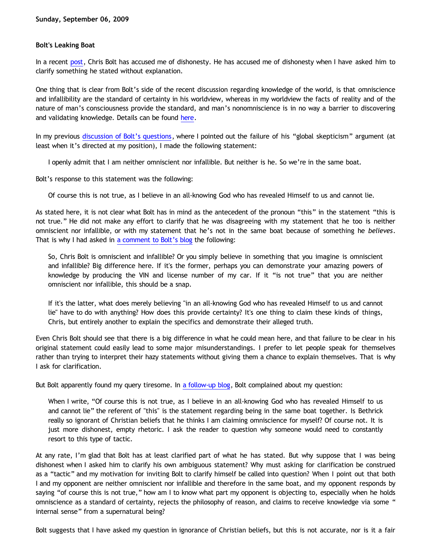## **Bolt's Leaking Boat**

In a recent [post,](http://choosinghats.blogspot.com/2009/09/dawson-bethrick-man-who-builds-his.html) Chris Bolt has accused me of dishonesty. He has accused me of dishonesty when I have asked him to clarify something he stated without explanation.

One thing that is clear from Bolt's side of the recent discussion regarding knowledge of the world, is that omniscience and infallibility are the standard of certainty in his worldview, whereas in my worldview the facts of reality and of the nature of man's consciousness provide the standard, and man's nonomniscience is in no way a barrier to discovering and validating knowledge. Details can be found [here](http://bahnsenburner.blogspot.com/2009/09/bolts-loose-screws.html).

In my previous [discussion of Bolt's questions](http://bahnsenburner.blogspot.com/2009/09/chris-bolts-questions.html), where I pointed out the failure of his "global skepticism" argument (at least when it's directed at my position), I made the following statement:

I openly admit that I am neither omniscient nor infallible. But neither is he. So we're in the same boat.

Bolt's response to this statement was the following:

Of course this is not true, as I believe in an all-knowing God who has revealed Himself to us and cannot lie.

As stated here, it is not clear what Bolt has in mind as the antecedent of the pronoun "this" in the statement "this is not true." He did not make any effort to clarify that he was disagreeing with my statement that he too is neither omniscient nor infallible, or with my statement that he's not in the same boat because of something he *believes*. That is why I had asked in [a comment to Bolt's blog](http://choosinghats.blogspot.com/2009/09/all-bethrick-all-time.html) the following:

So, Chris Bolt is omniscient and infallible? Or you simply believe in something that you imagine is omniscient and infallible? Big difference here. If it's the former, perhaps you can demonstrate your amazing powers of knowledge by producing the VIN and license number of my car. If it "is not true" that you are neither omniscient nor infallible, this should be a snap.

If it's the latter, what does merely believing "in an all-knowing God who has revealed Himself to us and cannot lie" have to do with anything? How does this provide certainty? It's one thing to claim these kinds of things, Chris, but entirely another to explain the specifics and demonstrate their alleged truth.

Even Chris Bolt should see that there is a big difference in what he could mean here, and that failure to be clear in his original statement could easily lead to some major misunderstandings. I prefer to let people speak for themselves rather than trying to interpret their hazy statements without giving them a chance to explain themselves. That is why I ask for clarification.

But Bolt apparently found my query tiresome. In [a follow-up blog,](http://choosinghats.blogspot.com/2009/09/dawson-bethrick-man-who-builds-his.html) Bolt complained about my question:

When I write, "Of course this is not true, as I believe in an all-knowing God who has revealed Himself to us and cannot lie" the referent of "this" is the statement regarding being in the same boat together. Is Bethrick really so ignorant of Christian beliefs that he thinks I am claiming omniscience for myself? Of course not. It is just more dishonest, empty rhetoric. I ask the reader to question why someone would need to constantly resort to this type of tactic.

At any rate, I'm glad that Bolt has at least clarified part of what he has stated. But why suppose that I was being dishonest when I asked him to clarify his own ambiguous statement? Why must asking for clarification be construed as a "tactic" and my motivation for inviting Bolt to clarify himself be called into question? When I point out that both I and my opponent are neither omniscient nor infallible and therefore in the same boat, and my opponent responds by saying "of course this is not true," how am I to know what part my opponent is objecting to, especially when he holds omniscience as a standard of certainty, rejects the philosophy of reason, and claims to receive knowledge via some " internal sense" from a supernatural being?

Bolt suggests that I have asked my question in ignorance of Christian beliefs, but this is not accurate, nor is it a fair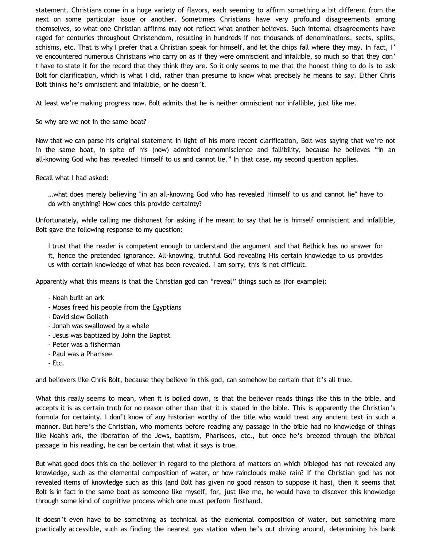statement. Christians come in a huge variety of flavors, each seeming to affirm something a bit different from the next on some particular issue or another. Sometimes Christians have very profound disagreements among themselves, so what one Christian affirms may not reflect what another believes. Such internal disagreements have raged for centuries throughout Christendom, resulting in hundreds if not thousands of denominations, sects, splits, schisms, etc. That is why I prefer that a Christian speak for himself, and let the chips fall where they may. In fact, I' ve encountered numerous Christians who carry on as if they were omniscient and infallible, so much so that they don' t have to state it for the record that they think they are. So it only seems to me that the honest thing to do is to ask Bolt for clarification, which is what I did, rather than presume to know what precisely he means to say. Either Chris Bolt thinks he's omniscient and infallible, or he doesn't.

At least we're making progress now. Bolt admits that he is neither omniscient nor infallible, just like me.

## So why are we not in the same boat?

Now that we can parse his original statement in light of his more recent clarification, Bolt was saying that we're not in the same boat, in spite of his (now) admitted nonomniscience and fallibility, because he believes "in an all-knowing God who has revealed Himself to us and cannot lie." In that case, my second question applies.

## Recall what I had asked:

…what does merely believing "in an all-knowing God who has revealed Himself to us and cannot lie" have to do with anything? How does this provide certainty?

Unfortunately, while calling me dishonest for asking if he meant to say that he is himself omniscient and infallible, Bolt gave the following response to my question:

I trust that the reader is competent enough to understand the argument and that Bethick has no answer for it, hence the pretended ignorance. All-knowing, truthful God revealing His certain knowledge to us provides us with certain knowledge of what has been revealed. I am sorry, this is not difficult.

Apparently what this means is that the Christian god can "reveal" things such as (for example):

- Noah built an ark
- Moses freed his people from the Egyptians
- David slew Goliath
- Jonah was swallowed by a whale
- Jesus was baptized by John the Baptist
- Peter was a fisherman
- Paul was a Pharisee
- Etc.

and believers like Chris Bolt, because they believe in this god, can somehow be certain that it's all true.

What this really seems to mean, when it is boiled down, is that the believer reads things like this in the bible, and accepts it is as certain truth for no reason other than that it is stated in the bible. This is apparently the Christian's formula for certainty. I don't know of any historian worthy of the title who would treat any ancient text in such a manner. But here's the Christian, who moments before reading any passage in the bible had no knowledge of things like Noah's ark, the liberation of the Jews, baptism, Pharisees, etc., but once he's breezed through the biblical passage in his reading, he can be certain that what it says is true.

But what good does this do the believer in regard to the plethora of matters on which biblegod has not revealed any knowledge, such as the elemental composition of water, or how rainclouds make rain? If the Christian god has not revealed items of knowledge such as this (and Bolt has given no good reason to suppose it has), then it seems that Bolt is in fact in the same boat as someone like myself, for, just like me, he would have to discover this knowledge through some kind of cognitive process which one must perform firsthand.

It doesn't even have to be something as technical as the elemental composition of water, but something more practically accessible, such as finding the nearest gas station when he's out driving around, determining his bank